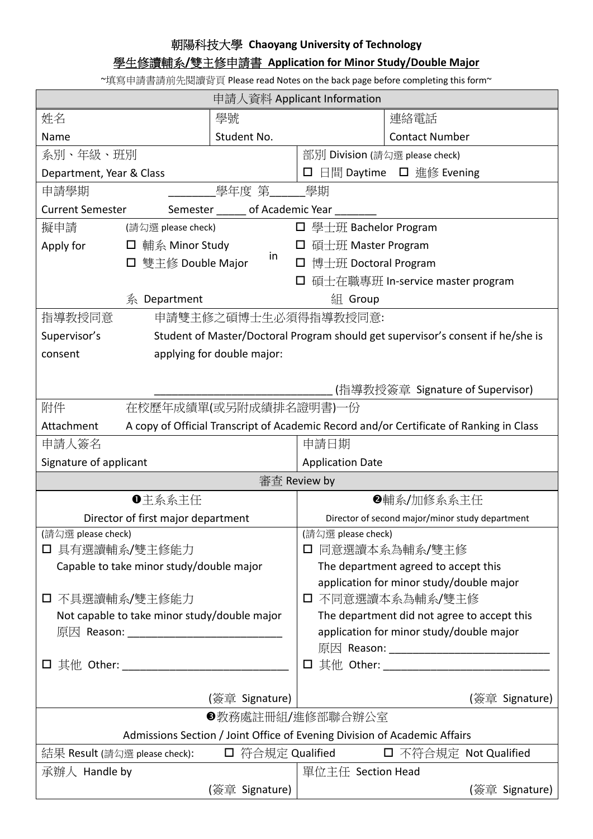## 朝陽科技大學 **Chaoyang University of Technology**

## 學生修讀輔系**/**雙主修申請書 **Application for Minor Study/Double Major**

~填寫申請書請前先閱讀背頁 Please read Notes on the back page before completing this form~

| 申請人資料 Applicant Information                                                                                                                                                                                                                      |                                                                                 |                |                                                                                                                          |                                                                                         |  |
|--------------------------------------------------------------------------------------------------------------------------------------------------------------------------------------------------------------------------------------------------|---------------------------------------------------------------------------------|----------------|--------------------------------------------------------------------------------------------------------------------------|-----------------------------------------------------------------------------------------|--|
| 姓名                                                                                                                                                                                                                                               |                                                                                 | 學號             |                                                                                                                          | 連絡電話                                                                                    |  |
| Name                                                                                                                                                                                                                                             |                                                                                 | Student No.    |                                                                                                                          | <b>Contact Number</b>                                                                   |  |
| 系別、年級、班別                                                                                                                                                                                                                                         |                                                                                 |                | 部別 Division (請勾選 please check)                                                                                           |                                                                                         |  |
| Department, Year & Class                                                                                                                                                                                                                         |                                                                                 |                | □ 日間 Daytime □ 進修 Evening                                                                                                |                                                                                         |  |
| 學年度 第 學期<br>申請學期                                                                                                                                                                                                                                 |                                                                                 |                |                                                                                                                          |                                                                                         |  |
| Semester _______ of Academic Year ________<br><b>Current Semester</b>                                                                                                                                                                            |                                                                                 |                |                                                                                                                          |                                                                                         |  |
| 擬申請                                                                                                                                                                                                                                              | (請勾選 please check)                                                              |                | □ 學士班 Bachelor Program                                                                                                   |                                                                                         |  |
| Apply for                                                                                                                                                                                                                                        | □ 輔系 Minor Study                                                                |                | □ 碩士班 Master Program                                                                                                     |                                                                                         |  |
|                                                                                                                                                                                                                                                  | □ 雙主修 Double Major                                                              | in             | 博士班 Doctoral Program<br>$\Box$                                                                                           |                                                                                         |  |
|                                                                                                                                                                                                                                                  |                                                                                 |                |                                                                                                                          | 碩士在職專班 In-service master program                                                        |  |
|                                                                                                                                                                                                                                                  | 系 Department                                                                    |                | 組 Group                                                                                                                  |                                                                                         |  |
| 指導教授同意<br>申請雙主修之碩博士生必須得指導教授同意:                                                                                                                                                                                                                   |                                                                                 |                |                                                                                                                          |                                                                                         |  |
| Supervisor's                                                                                                                                                                                                                                     | Student of Master/Doctoral Program should get supervisor's consent if he/she is |                |                                                                                                                          |                                                                                         |  |
| consent                                                                                                                                                                                                                                          | applying for double major:                                                      |                |                                                                                                                          |                                                                                         |  |
|                                                                                                                                                                                                                                                  |                                                                                 |                |                                                                                                                          |                                                                                         |  |
|                                                                                                                                                                                                                                                  |                                                                                 |                |                                                                                                                          | (指導教授簽章 Signature of Supervisor)                                                        |  |
| 附件                                                                                                                                                                                                                                               | 在校歷年成績單(或另附成績排名證明書)一份                                                           |                |                                                                                                                          |                                                                                         |  |
| Attachment                                                                                                                                                                                                                                       |                                                                                 |                |                                                                                                                          | A copy of Official Transcript of Academic Record and/or Certificate of Ranking in Class |  |
| 申請人簽名                                                                                                                                                                                                                                            |                                                                                 |                | 申請日期                                                                                                                     |                                                                                         |  |
| Signature of applicant                                                                                                                                                                                                                           |                                                                                 |                | <b>Application Date</b>                                                                                                  |                                                                                         |  |
| 審査 Review by                                                                                                                                                                                                                                     |                                                                                 |                |                                                                                                                          |                                                                                         |  |
| ❶主系系主任                                                                                                                                                                                                                                           |                                                                                 |                | ❷輔系/加修系系主任                                                                                                               |                                                                                         |  |
| Director of first major department                                                                                                                                                                                                               |                                                                                 |                | Director of second major/minor study department                                                                          |                                                                                         |  |
| (請勾選 please check)                                                                                                                                                                                                                               |                                                                                 |                | (請勾選 please check)                                                                                                       |                                                                                         |  |
| □ 具有選讀輔系/雙主修能力                                                                                                                                                                                                                                   |                                                                                 |                | □ 同意選讀本系為輔系/雙主修                                                                                                          |                                                                                         |  |
| Capable to take minor study/double major                                                                                                                                                                                                         |                                                                                 |                | The department agreed to accept this                                                                                     |                                                                                         |  |
|                                                                                                                                                                                                                                                  |                                                                                 |                | application for minor study/double major                                                                                 |                                                                                         |  |
| □ 不具選讀輔系/雙主修能力                                                                                                                                                                                                                                   |                                                                                 |                | □ 不同意選讀本系為輔系/雙主修                                                                                                         |                                                                                         |  |
| Not capable to take minor study/double major                                                                                                                                                                                                     |                                                                                 |                | The department did not agree to accept this                                                                              |                                                                                         |  |
| 原因 Reason: ________________________________                                                                                                                                                                                                      |                                                                                 |                | application for minor study/double major<br>原因 Reason: _________________________________                                 |                                                                                         |  |
| $\Box$ 其他 Other: $\Box$ . The contract of $\Box$ . The contract of $\Box$ . The contract of $\Box$ . The contract of $\Box$ . The contract of $\Box$ . The contract of $\Box$ . The contract of $\Box$ . The contract of $\Box$ . The contract o |                                                                                 |                | 其他 Other: with the control of the control of the control of the control of the control of the control of the c<br>$\Box$ |                                                                                         |  |
|                                                                                                                                                                                                                                                  |                                                                                 |                |                                                                                                                          |                                                                                         |  |
| (簽章 Signature)                                                                                                                                                                                                                                   |                                                                                 |                |                                                                                                                          | (簽章 Signature)                                                                          |  |
| ❸教務處註冊組/進修部聯合辦公室                                                                                                                                                                                                                                 |                                                                                 |                |                                                                                                                          |                                                                                         |  |
| Admissions Section / Joint Office of Evening Division of Academic Affairs                                                                                                                                                                        |                                                                                 |                |                                                                                                                          |                                                                                         |  |
| 口 符合規定 Qualified<br>□ 不符合規定 Not Qualified<br>結果 Result (請勾選 please check):                                                                                                                                                                       |                                                                                 |                |                                                                                                                          |                                                                                         |  |
| 承辦人 Handle by                                                                                                                                                                                                                                    |                                                                                 |                | 單位主任 Section Head                                                                                                        |                                                                                         |  |
|                                                                                                                                                                                                                                                  |                                                                                 | (簽章 Signature) |                                                                                                                          | (簽章 Signature)                                                                          |  |